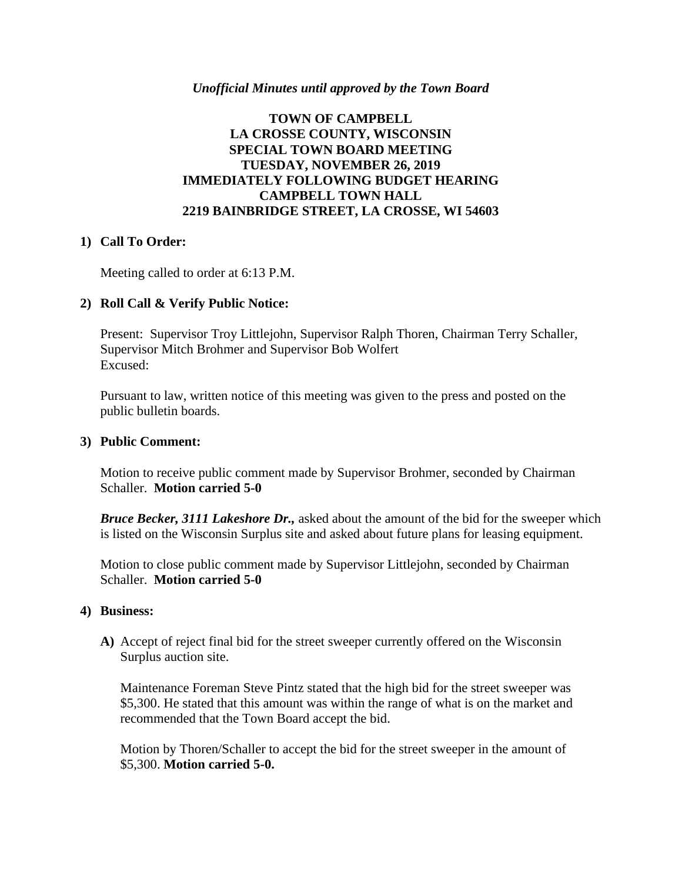## *Unofficial Minutes until approved by the Town Board*

## **TOWN OF CAMPBELL LA CROSSE COUNTY, WISCONSIN SPECIAL TOWN BOARD MEETING TUESDAY, NOVEMBER 26, 2019 IMMEDIATELY FOLLOWING BUDGET HEARING CAMPBELL TOWN HALL 2219 BAINBRIDGE STREET, LA CROSSE, WI 54603**

### **1) Call To Order:**

Meeting called to order at 6:13 P.M.

## **2) Roll Call & Verify Public Notice:**

Present: Supervisor Troy Littlejohn, Supervisor Ralph Thoren, Chairman Terry Schaller, Supervisor Mitch Brohmer and Supervisor Bob Wolfert Excused:

Pursuant to law, written notice of this meeting was given to the press and posted on the public bulletin boards.

#### **3) Public Comment:**

Motion to receive public comment made by Supervisor Brohmer, seconded by Chairman Schaller. **Motion carried 5-0**

*Bruce Becker, 3111 Lakeshore Dr.,* asked about the amount of the bid for the sweeper which is listed on the Wisconsin Surplus site and asked about future plans for leasing equipment.

Motion to close public comment made by Supervisor Littlejohn, seconded by Chairman Schaller. **Motion carried 5-0**

#### **4) Business:**

**A)** Accept of reject final bid for the street sweeper currently offered on the Wisconsin Surplus auction site.

Maintenance Foreman Steve Pintz stated that the high bid for the street sweeper was \$5,300. He stated that this amount was within the range of what is on the market and recommended that the Town Board accept the bid.

Motion by Thoren/Schaller to accept the bid for the street sweeper in the amount of \$5,300. **Motion carried 5-0.**